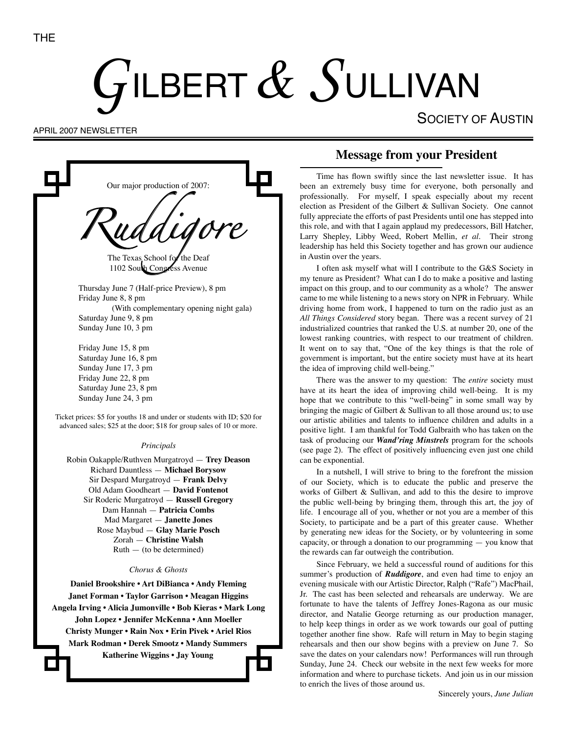# GILBERT  $\&$  SULLIVAN

SOCIETY OF AUSTIN

APRIL 2007 NEWSLETTER

Our major production of 2007: *Ruddigore* The Texas School for the Deaf 1102 South Congress Avenue Thursday June 7 (Half-price Preview), 8 pm Friday June 8, 8 pm (With complementary opening night gala) Saturday June 9, 8 pm Sunday June 10, 3 pm Friday June 15, 8 pm Saturday June 16, 8 pm Sunday June 17, 3 pm Friday June 22, 8 pm Saturday June 23, 8 pm Sunday June 24, 3 pm Ticket prices: \$5 for youths 18 and under or students with ID; \$20 for advanced sales; \$25 at the door; \$18 for group sales of 10 or more. *Principals* Robin Oakapple/Ruthven Murgatroyd — **Trey Deason** Richard Dauntless — **Michael Borysow** Sir Despard Murgatroyd — **Frank Delvy** Old Adam Goodheart — **David Fontenot** Sir Roderic Murgatroyd — **Russell Gregory** Dam Hannah — **Patricia Combs** Mad Margaret — **Janette Jones** Rose Maybud — **Glay Marie Posch**

Zorah — **Christine Walsh**  $Ruth$  — (to be determined)

#### *Chorus & Ghosts*

**Daniel Brookshire • Art DiBianca • Andy Fleming Janet Forman • Taylor Garrison • Meagan Higgins Angela Irving • Alicia Jumonville • Bob Kieras • Mark Long John Lopez • Jennifer McKenna • Ann Moeller Christy Munger • Rain Nox • Erin Pivek • Ariel Rios Mark Rodman • Derek Smootz • Mandy Summers Katherine Wiggins • Jay Young**

## **Message from your President**

Time has flown swiftly since the last newsletter issue. It has been an extremely busy time for everyone, both personally and professionally. For myself, I speak especially about my recent election as President of the Gilbert & Sullivan Society. One cannot fully appreciate the efforts of past Presidents until one has stepped into this role, and with that I again applaud my predecessors, Bill Hatcher, Larry Shepley, Libby Weed, Robert Mellin, *et al*. Their strong leadership has held this Society together and has grown our audience in Austin over the years.

I often ask myself what will I contribute to the G&S Society in my tenure as President? What can I do to make a positive and lasting impact on this group, and to our community as a whole? The answer came to me while listening to a news story on NPR in February. While driving home from work, I happened to turn on the radio just as an *All Things Considered* story began. There was a recent survey of 21 industrialized countries that ranked the U.S. at number 20, one of the lowest ranking countries, with respect to our treatment of children. It went on to say that, "One of the key things is that the role of government is important, but the entire society must have at its heart the idea of improving child well-being."

There was the answer to my question: The *entire* society must have at its heart the idea of improving child well-being. It is my hope that we contribute to this "well-being" in some small way by bringing the magic of Gilbert  $&$  Sullivan to all those around us; to use our artistic abilities and talents to influence children and adults in a positive light. I am thankful for Todd Galbraith who has taken on the task of producing our *Wand'ring Minstrels* program for the schools (see page 2). The effect of positively influencing even just one child can be exponential.

In a nutshell, I will strive to bring to the forefront the mission of our Society, which is to educate the public and preserve the works of Gilbert & Sullivan, and add to this the desire to improve the public well-being by bringing them, through this art, the joy of life. I encourage all of you, whether or not you are a member of this Society, to participate and be a part of this greater cause. Whether by generating new ideas for the Society, or by volunteering in some capacity, or through a donation to our programming — you know that the rewards can far outweigh the contribution.

Since February, we held a successful round of auditions for this summer's production of *Ruddigore*, and even had time to enjoy an evening musicale with our Artistic Director, Ralph ("Rafe") MacPhail, Jr. The cast has been selected and rehearsals are underway. We are fortunate to have the talents of Jeffrey Jones-Ragona as our music director, and Natalie George returning as our production manager, to help keep things in order as we work towards our goal of putting together another fine show. Rafe will return in May to begin staging rehearsals and then our show begins with a preview on June 7. So save the dates on your calendars now! Performances will run through Sunday, June 24. Check our website in the next few weeks for more information and where to purchase tickets. And join us in our mission to enrich the lives of those around us.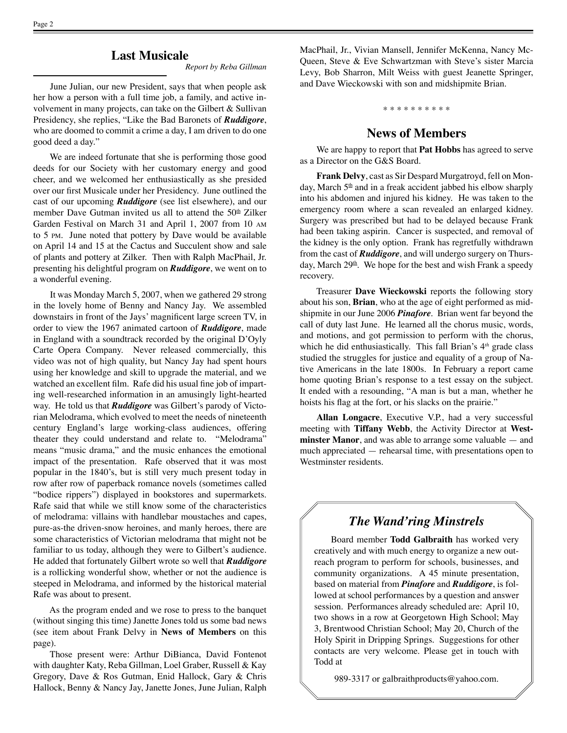#### **Last Musicale**

*Report by Reba Gillman*

June Julian, our new President, says that when people ask her how a person with a full time job, a family, and active involvement in many projects, can take on the Gilbert & Sullivan Presidency, she replies, "Like the Bad Baronets of *Ruddigore*, who are doomed to commit a crime a day, I am driven to do one good deed a day."

We are indeed fortunate that she is performing those good deeds for our Society with her customary energy and good cheer, and we welcomed her enthusiastically as she presided over our first Musicale under her Presidency. June outlined the cast of our upcoming *Ruddigore* (see list elsewhere), and our member Dave Gutman invited us all to attend the 50<sup>th</sup> Zilker Garden Festival on March 31 and April 1, 2007 from 10 AM to 5 PM. June noted that pottery by Dave would be available on April 14 and 15 at the Cactus and Succulent show and sale of plants and pottery at Zilker. Then with Ralph MacPhail, Jr. presenting his delightful program on *Ruddigore*, we went on to a wonderful evening.

It was Monday March 5, 2007, when we gathered 29 strong in the lovely home of Benny and Nancy Jay. We assembled downstairs in front of the Jays' magnificent large screen TV, in order to view the 1967 animated cartoon of *Ruddigore*, made in England with a soundtrack recorded by the original D'Oyly Carte Opera Company. Never released commercially, this video was not of high quality, but Nancy Jay had spent hours using her knowledge and skill to upgrade the material, and we watched an excellent film. Rafe did his usual fine job of imparting well-researched information in an amusingly light-hearted way. He told us that *Ruddigore* was Gilbert's parody of Victorian Melodrama, which evolved to meet the needs of nineteenth century England's large working-class audiences, offering theater they could understand and relate to. "Melodrama" means "music drama," and the music enhances the emotional impact of the presentation. Rafe observed that it was most popular in the 1840's, but is still very much present today in row after row of paperback romance novels (sometimes called "bodice rippers") displayed in bookstores and supermarkets. Rafe said that while we still know some of the characteristics of melodrama: villains with handlebar moustaches and capes, pure-as-the driven-snow heroines, and manly heroes, there are some characteristics of Victorian melodrama that might not be familiar to us today, although they were to Gilbert's audience. He added that fortunately Gilbert wrote so well that *Ruddigore*  is a rollicking wonderful show, whether or not the audience is steeped in Melodrama, and informed by the historical material Rafe was about to present.

As the program ended and we rose to press to the banquet (without singing this time) Janette Jones told us some bad news (see item about Frank Delvy in **News of Members** on this page).

Those present were: Arthur DiBianca, David Fontenot with daughter Katy, Reba Gillman, Loel Graber, Russell & Kay Gregory, Dave & Ros Gutman, Enid Hallock, Gary & Chris Hallock, Benny & Nancy Jay, Janette Jones, June Julian, Ralph

MacPhail, Jr., Vivian Mansell, Jennifer McKenna, Nancy Mc-Queen, Steve & Eve Schwartzman with Steve's sister Marcia Levy, Bob Sharron, Milt Weiss with guest Jeanette Springer, and Dave Wieckowski with son and midshipmite Brian.

\* \* \* \* \* \* \* \* \* \*

### **News of Members**

We are happy to report that **Pat Hobbs** has agreed to serve as a Director on the G&S Board.

**Frank Delvy**, cast as Sir Despard Murgatroyd, fell on Monday, March 5<sup>th</sup> and in a freak accident jabbed his elbow sharply into his abdomen and injured his kidney. He was taken to the emergency room where a scan revealed an enlarged kidney. Surgery was prescribed but had to be delayed because Frank had been taking aspirin. Cancer is suspected, and removal of the kidney is the only option. Frank has regretfully withdrawn from the cast of *Ruddigore*, and will undergo surgery on Thursday, March 29<sup>th</sup>. We hope for the best and wish Frank a speedy recovery.

Treasurer **Dave Wieckowski** reports the following story about his son, **Brian**, who at the age of eight performed as midshipmite in our June 2006 *Pinafore*. Brian went far beyond the call of duty last June. He learned all the chorus music, words, and motions, and got permission to perform with the chorus, which he did enthusiastically. This fall Brian's 4*th* grade class studied the struggles for justice and equality of a group of Native Americans in the late 1800s. In February a report came home quoting Brian's response to a test essay on the subject. It ended with a resounding, "A man is but a man, whether he hoists his flag at the fort, or his slacks on the prairie."

**Allan Longacre**, Executive V.P., had a very successful meeting with **Tiffany Webb**, the Activity Director at **Westminster Manor**, and was able to arrange some valuable — and much appreciated — rehearsal time, with presentations open to Westminster residents.

## *The Wand'ring Minstrels*

Board member **Todd Galbraith** has worked very creatively and with much energy to organize a new outreach program to perform for schools, businesses, and community organizations. A 45 minute presentation, based on material from *Pinafore* and *Ruddigore*, is followed at school performances by a question and answer session. Performances already scheduled are: April 10, two shows in a row at Georgetown High School; May 3, Brentwood Christian School; May 20, Church of the Holy Spirit in Dripping Springs. Suggestions for other contacts are very welcome. Please get in touch with Todd at

989-3317 or galbraithproducts@yahoo.com.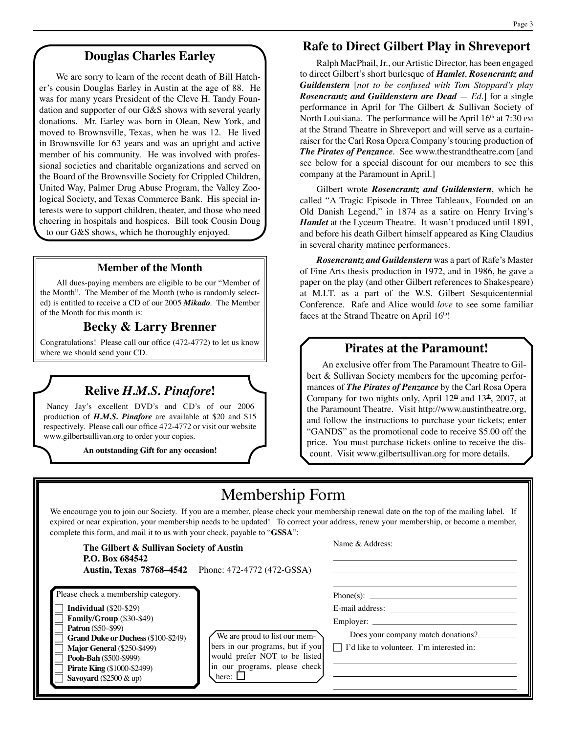## **Douglas Charles Earley**

We are sorry to learn of the recent death of Bill Hatcher's cousin Douglas Earley in Austin at the age of 88. He was for many years President of the Cleve H. Tandy Foundation and supporter of our G&S shows with several yearly donations. Mr. Earley was born in Olean, New York, and moved to Brownsville, Texas, when he was 12. He lived in Brownsville for 63 years and was an upright and active member of his community. He was involved with professional societies and charitable organizations and served on the Board of the Brownsville Society for Crippled Children, United Way, Palmer Drug Abuse Program, the Valley Zoological Society, and Texas Commerce Bank. His special interests were to support children, theater, and those who need cheering in hospitals and hospices. Bill took Cousin Doug to our G&S shows, which he thoroughly enjoyed.

#### **Member of the Month**

All dues-paying members are eligible to be our "Member of the Month". The Member of the Month (who is randomly selected) is entitled to receive a CD of our 2005 *Mikado*. The Member of the Month for this month is:

## **Becky & Larry Brenner**

Congratulations! Please call our office (472-4772) to let us know where we should send your CD.

## **Relive** *H.M.S. Pinafore***!**

Nancy Jay's excellent DVD's and CD's of our 2006 production of *H.M.S. Pinafore* are available at \$20 and \$15 respectively. Please call our office 472-4772 or visit our website www.gilbertsullivan.org to order your copies.

**An outstanding Gift for any occasion!**

## **Rafe to Direct Gilbert Play in Shreveport**

Ralph MacPhail, Jr., our Artistic Director, has been engaged to direct Gilbert's short burlesque of *Hamlet*, *Rosencrantz and Guildenstern* [*not to be confused with Tom Stoppard's play Rosencrantz and Guildenstern are Dead — Ed.*] for a single performance in April for The Gilbert & Sullivan Society of North Louisiana. The performance will be April  $16<sup>th</sup>$  at 7:30 PM at the Strand Theatre in Shreveport and will serve as a curtainraiser for the Carl Rosa Opera Company's touring production of *The Pirates of Penzance*. See www.thestrandtheatre.com [and see below for a special discount for our members to see this company at the Paramount in April.]

Gilbert wrote *Rosencrantz and Guildenstern*, which he called "A Tragic Episode in Three Tableaux, Founded on an Old Danish Legend," in 1874 as a satire on Henry Irving's *Hamlet* at the Lyceum Theatre. It wasn't produced until 1891, and before his death Gilbert himself appeared as King Claudius in several charity matinee performances.

*Rosencrantz and Guildenstern* was a part of Rafe's Master of Fine Arts thesis production in 1972, and in 1986, he gave a paper on the play (and other Gilbert references to Shakespeare) at M.I.T. as a part of the W.S. Gilbert Sesquicentennial Conference. Rafe and Alice would *love* to see some familiar faces at the Strand Theatre on April  $16<sup>th</sup>$ !

#### **Pirates at the Paramount!**

An exclusive offer from The Paramount Theatre to Gilbert & Sullivan Society members for the upcoming performances of *The Pirates of Penzance* by the Carl Rosa Opera Company for two nights only, April  $12<sup>th</sup>$  and  $13<sup>th</sup>$ , 2007, at the Paramount Theatre. Visit http://www.austintheatre.org, and follow the instructions to purchase your tickets; enter "GANDS" as the promotional code to receive \$5.00 off the price. You must purchase tickets online to receive the discount. Visit www.gilbertsullivan.org for more details.

## Membership Form

We encourage you to join our Society. If you are a member, please check your membership renewal date on the top of the mailing label. If expired or near expiration, your membership needs to be updated! To correct your address, renew your membership, or become a member, complete this form, and mail it to us with your check, payable to "**GSSA**":

| The Gilbert & Sullivan Society of Austin<br>P.O. Box 684542                                                                                                                                                                                                                                               | <b>Austin, Texas 78768–4542</b> Phone: 472-4772 (472-GSSA)                                                                                          | Name & Address:                                                                                                        |
|-----------------------------------------------------------------------------------------------------------------------------------------------------------------------------------------------------------------------------------------------------------------------------------------------------------|-----------------------------------------------------------------------------------------------------------------------------------------------------|------------------------------------------------------------------------------------------------------------------------|
| Please check a membership category.<br>Individual $(\$20-\$29)$<br>Family/Group (\$30-\$49)<br><b>Patron</b> (\$50–\$99)<br><b>Grand Duke or Duchess (\$100-\$249)</b><br><b>Major General (\$250-\$499)</b><br>Pooh-Bah (\$500-\$999)<br><b>Pirate King (\$1000-\$2499)</b><br>Savoyard $(\$2500 \& up)$ | We are proud to list our mem-<br>bers in our programs, but if you<br>would prefer NOT to be listed<br>in our programs, please check<br>here: $\Box$ | E-mail address:<br>Employer:<br>Does your company match donations?<br>$\Box$ I'd like to volunteer. I'm interested in: |